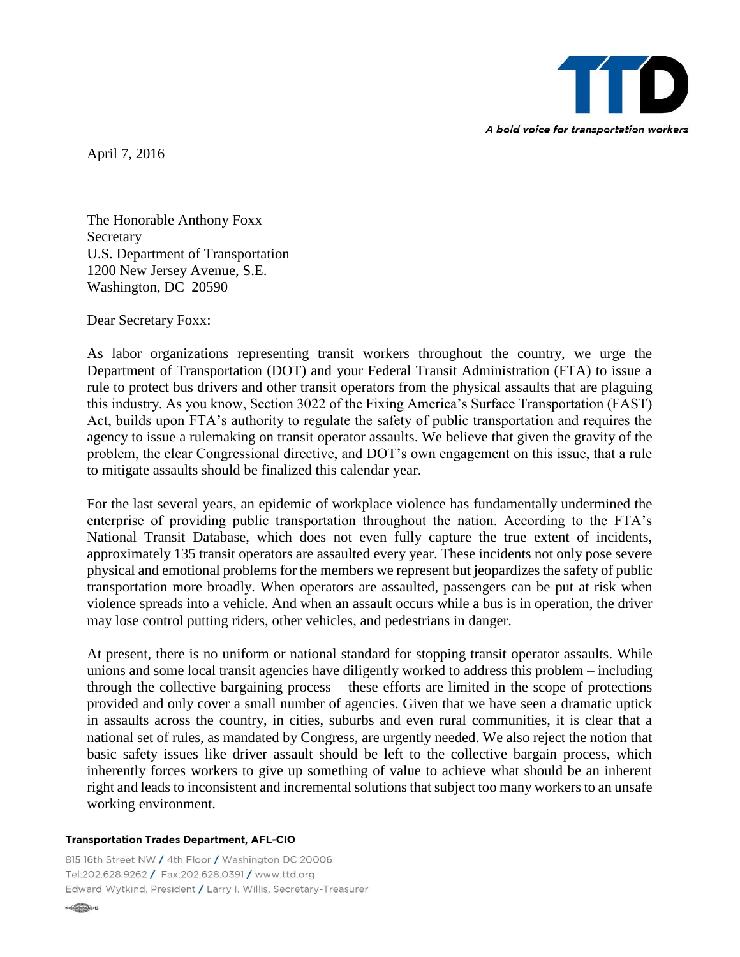

April 7, 2016

The Honorable Anthony Foxx Secretary U.S. Department of Transportation 1200 New Jersey Avenue, S.E. Washington, DC 20590

Dear Secretary Foxx:

As labor organizations representing transit workers throughout the country, we urge the Department of Transportation (DOT) and your Federal Transit Administration (FTA) to issue a rule to protect bus drivers and other transit operators from the physical assaults that are plaguing this industry. As you know, Section 3022 of the Fixing America's Surface Transportation (FAST) Act, builds upon FTA's authority to regulate the safety of public transportation and requires the agency to issue a rulemaking on transit operator assaults. We believe that given the gravity of the problem, the clear Congressional directive, and DOT's own engagement on this issue, that a rule to mitigate assaults should be finalized this calendar year.

For the last several years, an epidemic of workplace violence has fundamentally undermined the enterprise of providing public transportation throughout the nation. According to the FTA's National Transit Database, which does not even fully capture the true extent of incidents, approximately 135 transit operators are assaulted every year. These incidents not only pose severe physical and emotional problems for the members we represent but jeopardizes the safety of public transportation more broadly. When operators are assaulted, passengers can be put at risk when violence spreads into a vehicle. And when an assault occurs while a bus is in operation, the driver may lose control putting riders, other vehicles, and pedestrians in danger.

At present, there is no uniform or national standard for stopping transit operator assaults. While unions and some local transit agencies have diligently worked to address this problem – including through the collective bargaining process – these efforts are limited in the scope of protections provided and only cover a small number of agencies. Given that we have seen a dramatic uptick in assaults across the country, in cities, suburbs and even rural communities, it is clear that a national set of rules, as mandated by Congress, are urgently needed. We also reject the notion that basic safety issues like driver assault should be left to the collective bargain process, which inherently forces workers to give up something of value to achieve what should be an inherent right and leads to inconsistent and incremental solutions that subject too many workers to an unsafe working environment.

## **Transportation Trades Department, AFL-CIO**

815 16th Street NW / 4th Floor / Washington DC 20006 Tel:202.628.9262 / Fax:202.628.0391 / www.ttd.org Edward Wytkind, President / Larry I. Willis, Secretary-Treasurer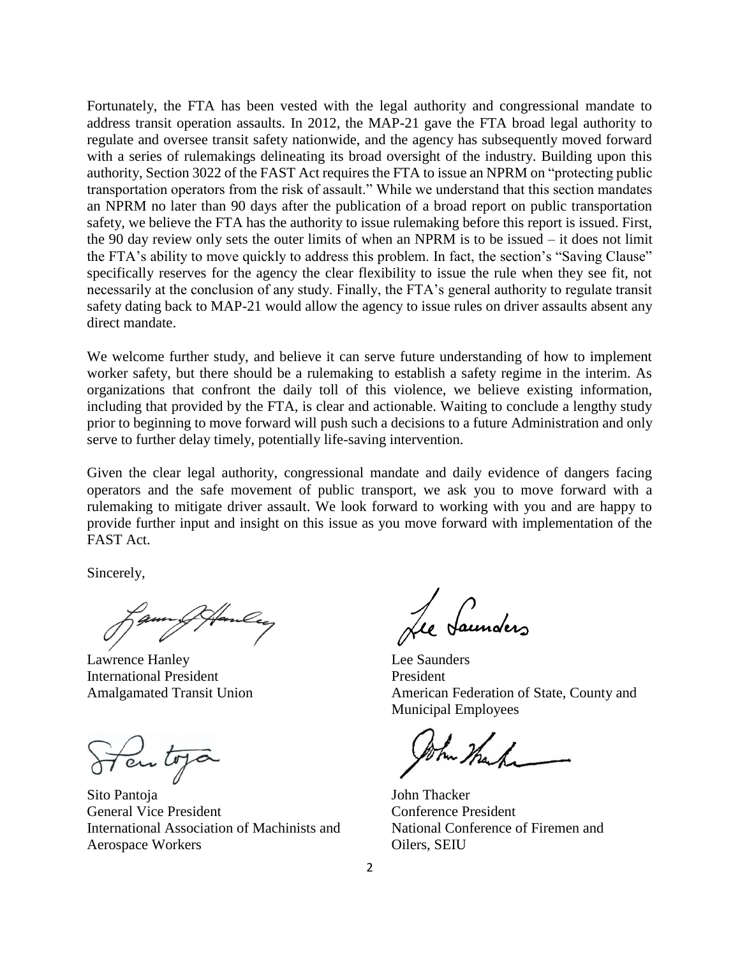Fortunately, the FTA has been vested with the legal authority and congressional mandate to address transit operation assaults. In 2012, the MAP-21 gave the FTA broad legal authority to regulate and oversee transit safety nationwide, and the agency has subsequently moved forward with a series of rulemakings delineating its broad oversight of the industry. Building upon this authority, Section 3022 of the FAST Act requires the FTA to issue an NPRM on "protecting public transportation operators from the risk of assault." While we understand that this section mandates an NPRM no later than 90 days after the publication of a broad report on public transportation safety, we believe the FTA has the authority to issue rulemaking before this report is issued. First, the 90 day review only sets the outer limits of when an NPRM is to be issued – it does not limit the FTA's ability to move quickly to address this problem. In fact, the section's "Saving Clause" specifically reserves for the agency the clear flexibility to issue the rule when they see fit, not necessarily at the conclusion of any study. Finally, the FTA's general authority to regulate transit safety dating back to MAP-21 would allow the agency to issue rules on driver assaults absent any direct mandate.

We welcome further study, and believe it can serve future understanding of how to implement worker safety, but there should be a rulemaking to establish a safety regime in the interim. As organizations that confront the daily toll of this violence, we believe existing information, including that provided by the FTA, is clear and actionable. Waiting to conclude a lengthy study prior to beginning to move forward will push such a decisions to a future Administration and only serve to further delay timely, potentially life-saving intervention.

Given the clear legal authority, congressional mandate and daily evidence of dangers facing operators and the safe movement of public transport, we ask you to move forward with a rulemaking to mitigate driver assault. We look forward to working with you and are happy to provide further input and insight on this issue as you move forward with implementation of the FAST Act.

Sincerely,

Lawrence Hanley Lee Saunders International President President

Ten top

Sito Pantoja John Thacker General Vice President Conference President International Association of Machinists and National Conference of Firemen and Aerospace Workers Oilers, SEIU

Jaunders

Amalgamated Transit Union American Federation of State, County and Municipal Employees

hu thank